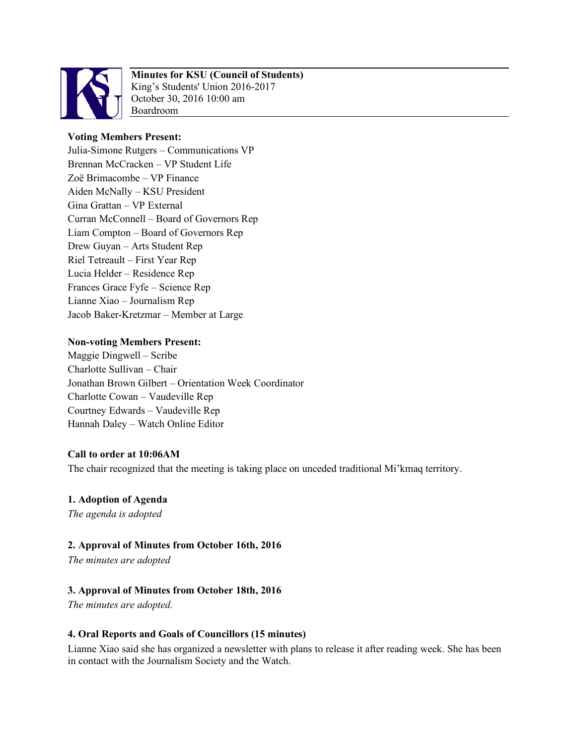

# **Minutes for KSU (Council of Students)**

King's Students' Union 2016-2017 October 30, 2016 10:00 am Boardroom

## **Voting Members Present:**

Julia-Simone Rutgers – Communications VP Brennan McCracken – VP Student Life Zoë Brimacombe – VP Finance Aiden McNally – KSU President Gina Grattan – VP External Curran McConnell – Board of Governors Rep Liam Compton – Board of Governors Rep Drew Guyan – Arts Student Rep Riel Tetreault – First Year Rep Lucia Helder – Residence Rep Frances Grace Fyfe – Science Rep Lianne Xiao – Journalism Rep Jacob Baker-Kretzmar – Member at Large

### **Non-voting Members Present:**

Maggie Dingwell – Scribe Charlotte Sullivan – Chair Jonathan Brown Gilbert – Orientation Week Coordinator Charlotte Cowan – Vaudeville Rep Courtney Edwards – Vaudeville Rep Hannah Daley – Watch Online Editor

### **Call to order at 10:06AM**

The chair recognized that the meeting is taking place on unceded traditional Mi'kmaq territory.

## **1. Adoption of Agenda**

*The agenda is adopted* 

## **2. Approval of Minutes from October 16th, 2016**

*The minutes are adopted* 

## **3. Approval of Minutes from October 18th, 2016**

*The minutes are adopted.* 

### **4. Oral Reports and Goals of Councillors (15 minutes)**

Lianne Xiao said she has organized a newsletter with plans to release it after reading week. She has been in contact with the Journalism Society and the Watch.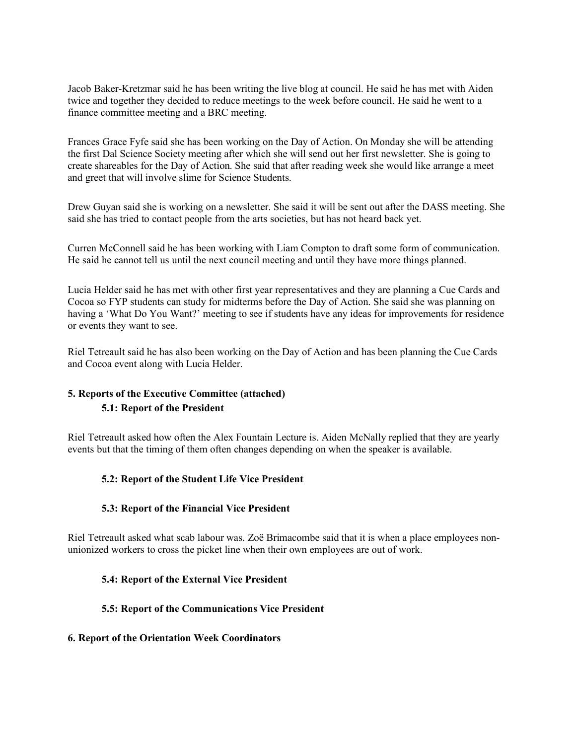Jacob Baker-Kretzmar said he has been writing the live blog at council. He said he has met with Aiden twice and together they decided to reduce meetings to the week before council. He said he went to a finance committee meeting and a BRC meeting.

Frances Grace Fyfe said she has been working on the Day of Action. On Monday she will be attending the first Dal Science Society meeting after which she will send out her first newsletter. She is going to create shareables for the Day of Action. She said that after reading week she would like arrange a meet and greet that will involve slime for Science Students.

Drew Guyan said she is working on a newsletter. She said it will be sent out after the DASS meeting. She said she has tried to contact people from the arts societies, but has not heard back yet.

Curren McConnell said he has been working with Liam Compton to draft some form of communication. He said he cannot tell us until the next council meeting and until they have more things planned.

Lucia Helder said he has met with other first year representatives and they are planning a Cue Cards and Cocoa so FYP students can study for midterms before the Day of Action. She said she was planning on having a 'What Do You Want?' meeting to see if students have any ideas for improvements for residence or events they want to see.

Riel Tetreault said he has also been working on the Day of Action and has been planning the Cue Cards and Cocoa event along with Lucia Helder.

## **5. Reports of the Executive Committee (attached) 5.1: Report of the President**

Riel Tetreault asked how often the Alex Fountain Lecture is. Aiden McNally replied that they are yearly events but that the timing of them often changes depending on when the speaker is available.

### **5.2: Report of the Student Life Vice President**

#### **5.3: Report of the Financial Vice President**

Riel Tetreault asked what scab labour was. Zoë Brimacombe said that it is when a place employees nonunionized workers to cross the picket line when their own employees are out of work.

#### **5.4: Report of the External Vice President**

#### **5.5: Report of the Communications Vice President**

#### **6. Report of the Orientation Week Coordinators**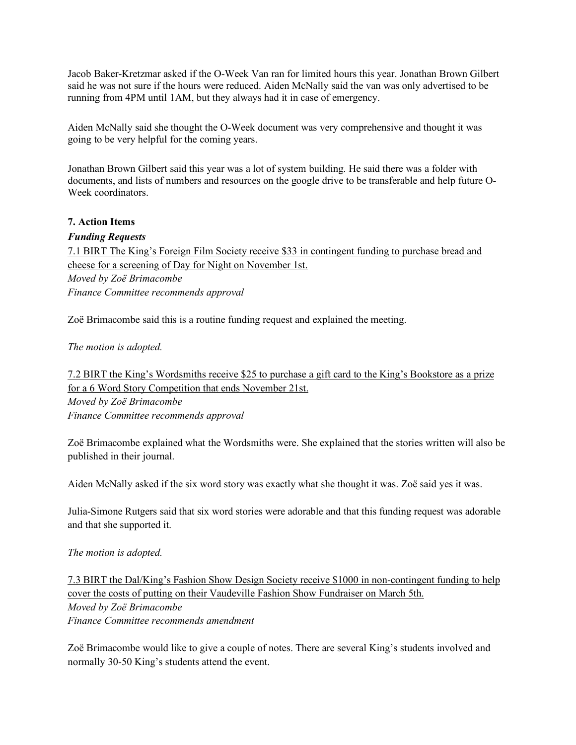Jacob Baker-Kretzmar asked if the O-Week Van ran for limited hours this year. Jonathan Brown Gilbert said he was not sure if the hours were reduced. Aiden McNally said the van was only advertised to be running from 4PM until 1AM, but they always had it in case of emergency.

Aiden McNally said she thought the O-Week document was very comprehensive and thought it was going to be very helpful for the coming years.

Jonathan Brown Gilbert said this year was a lot of system building. He said there was a folder with documents, and lists of numbers and resources on the google drive to be transferable and help future O-Week coordinators

### **7. Action Items**

### *Funding Requests*

7.1 BIRT The King's Foreign Film Society receive \$33 in contingent funding to purchase bread and cheese for a screening of Day for Night on November 1st. *Moved by Zoë Brimacombe Finance Committee recommends approval*

Zoë Brimacombe said this is a routine funding request and explained the meeting.

*The motion is adopted.* 

7.2 BIRT the King's Wordsmiths receive \$25 to purchase a gift card to the King's Bookstore as a prize for a 6 Word Story Competition that ends November 21st. *Moved by Zoë Brimacombe Finance Committee recommends approval*

Zoë Brimacombe explained what the Wordsmiths were. She explained that the stories written will also be published in their journal.

Aiden McNally asked if the six word story was exactly what she thought it was. Zoë said yes it was.

Julia-Simone Rutgers said that six word stories were adorable and that this funding request was adorable and that she supported it.

#### *The motion is adopted.*

7.3 BIRT the Dal/King's Fashion Show Design Society receive \$1000 in non-contingent funding to help cover the costs of putting on their Vaudeville Fashion Show Fundraiser on March 5th. *Moved by Zoë Brimacombe Finance Committee recommends amendment*

Zoë Brimacombe would like to give a couple of notes. There are several King's students involved and normally 30-50 King's students attend the event.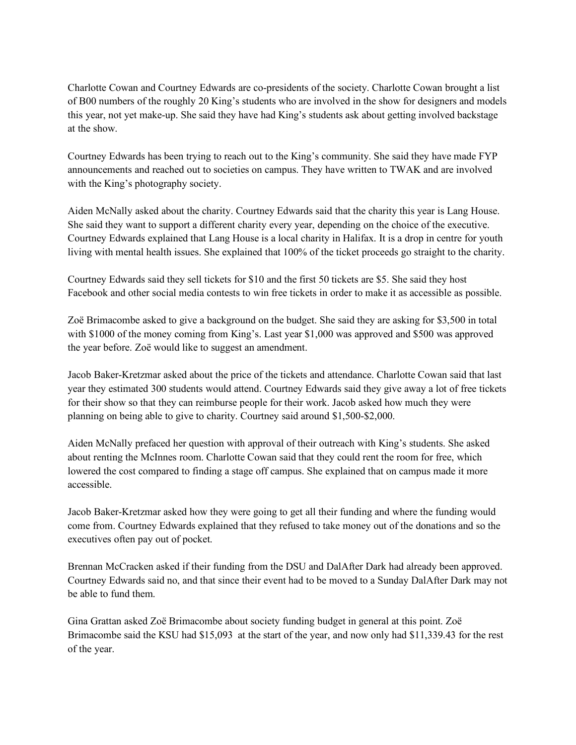Charlotte Cowan and Courtney Edwards are co-presidents of the society. Charlotte Cowan brought a list of B00 numbers of the roughly 20 King's students who are involved in the show for designers and models this year, not yet make-up. She said they have had King's students ask about getting involved backstage at the show.

Courtney Edwards has been trying to reach out to the King's community. She said they have made FYP announcements and reached out to societies on campus. They have written to TWAK and are involved with the King's photography society.

Aiden McNally asked about the charity. Courtney Edwards said that the charity this year is Lang House. She said they want to support a different charity every year, depending on the choice of the executive. Courtney Edwards explained that Lang House is a local charity in Halifax. It is a drop in centre for youth living with mental health issues. She explained that 100% of the ticket proceeds go straight to the charity.

Courtney Edwards said they sell tickets for \$10 and the first 50 tickets are \$5. She said they host Facebook and other social media contests to win free tickets in order to make it as accessible as possible.

Zoë Brimacombe asked to give a background on the budget. She said they are asking for \$3,500 in total with \$1000 of the money coming from King's. Last year \$1,000 was approved and \$500 was approved the year before. Zoë would like to suggest an amendment.

Jacob Baker-Kretzmar asked about the price of the tickets and attendance. Charlotte Cowan said that last year they estimated 300 students would attend. Courtney Edwards said they give away a lot of free tickets for their show so that they can reimburse people for their work. Jacob asked how much they were planning on being able to give to charity. Courtney said around \$1,500-\$2,000.

Aiden McNally prefaced her question with approval of their outreach with King's students. She asked about renting the McInnes room. Charlotte Cowan said that they could rent the room for free, which lowered the cost compared to finding a stage off campus. She explained that on campus made it more accessible.

Jacob Baker-Kretzmar asked how they were going to get all their funding and where the funding would come from. Courtney Edwards explained that they refused to take money out of the donations and so the executives often pay out of pocket.

Brennan McCracken asked if their funding from the DSU and DalAfter Dark had already been approved. Courtney Edwards said no, and that since their event had to be moved to a Sunday DalAfter Dark may not be able to fund them.

Gina Grattan asked Zoë Brimacombe about society funding budget in general at this point. Zoë Brimacombe said the KSU had \$15,093 at the start of the year, and now only had \$11,339.43 for the rest of the year.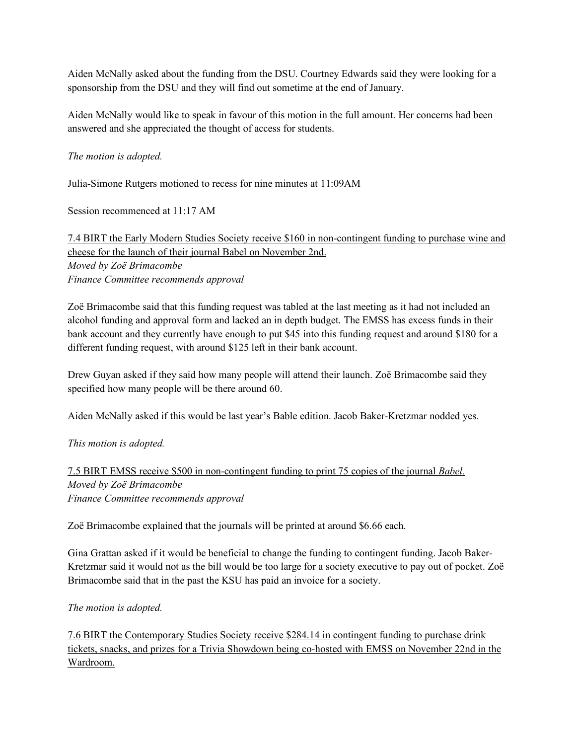Aiden McNally asked about the funding from the DSU. Courtney Edwards said they were looking for a sponsorship from the DSU and they will find out sometime at the end of January.

Aiden McNally would like to speak in favour of this motion in the full amount. Her concerns had been answered and she appreciated the thought of access for students.

### *The motion is adopted.*

Julia-Simone Rutgers motioned to recess for nine minutes at 11:09AM

Session recommenced at 11:17 AM

7.4 BIRT the Early Modern Studies Society receive \$160 in non-contingent funding to purchase wine and cheese for the launch of their journal Babel on November 2nd. *Moved by Zoë Brimacombe Finance Committee recommends approval*

Zoë Brimacombe said that this funding request was tabled at the last meeting as it had not included an alcohol funding and approval form and lacked an in depth budget. The EMSS has excess funds in their bank account and they currently have enough to put \$45 into this funding request and around \$180 for a different funding request, with around \$125 left in their bank account.

Drew Guyan asked if they said how many people will attend their launch. Zoë Brimacombe said they specified how many people will be there around 60.

Aiden McNally asked if this would be last year's Bable edition. Jacob Baker-Kretzmar nodded yes.

*This motion is adopted.* 

7.5 BIRT EMSS receive \$500 in non-contingent funding to print 75 copies of the journal *Babel. Moved by Zoë Brimacombe Finance Committee recommends approval*

Zoë Brimacombe explained that the journals will be printed at around \$6.66 each.

Gina Grattan asked if it would be beneficial to change the funding to contingent funding. Jacob Baker-Kretzmar said it would not as the bill would be too large for a society executive to pay out of pocket. Zoë Brimacombe said that in the past the KSU has paid an invoice for a society.

### *The motion is adopted.*

7.6 BIRT the Contemporary Studies Society receive \$284.14 in contingent funding to purchase drink tickets, snacks, and prizes for a Trivia Showdown being co-hosted with EMSS on November 22nd in the Wardroom.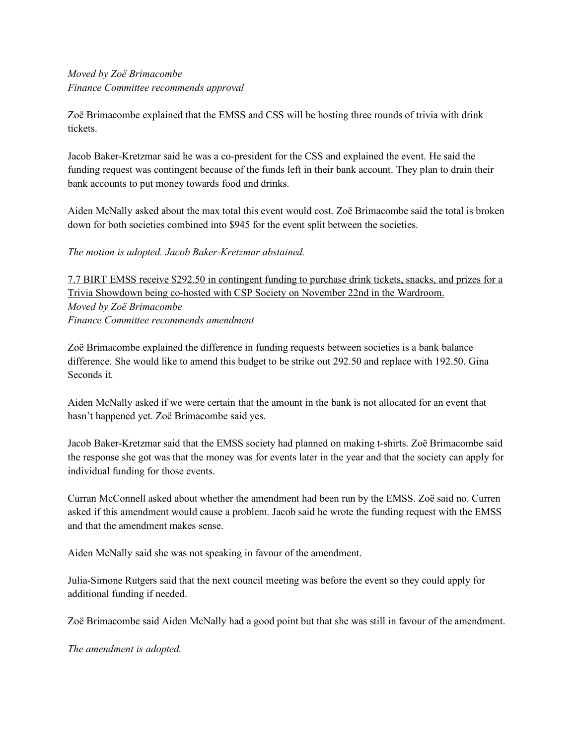## *Moved by Zoë Brimacombe Finance Committee recommends approval*

Zoë Brimacombe explained that the EMSS and CSS will be hosting three rounds of trivia with drink tickets.

Jacob Baker-Kretzmar said he was a co-president for the CSS and explained the event. He said the funding request was contingent because of the funds left in their bank account. They plan to drain their bank accounts to put money towards food and drinks.

Aiden McNally asked about the max total this event would cost. Zoë Brimacombe said the total is broken down for both societies combined into \$945 for the event split between the societies.

*The motion is adopted. Jacob Baker-Kretzmar abstained.* 

7.7 BIRT EMSS receive \$292.50 in contingent funding to purchase drink tickets, snacks, and prizes for a Trivia Showdown being co-hosted with CSP Society on November 22nd in the Wardroom. *Moved by Zoë Brimacombe Finance Committee recommends amendment*

Zoë Brimacombe explained the difference in funding requests between societies is a bank balance difference. She would like to amend this budget to be strike out 292.50 and replace with 192.50. Gina Seconds it.

Aiden McNally asked if we were certain that the amount in the bank is not allocated for an event that hasn't happened yet. Zoë Brimacombe said yes.

Jacob Baker-Kretzmar said that the EMSS society had planned on making t-shirts. Zoë Brimacombe said the response she got was that the money was for events later in the year and that the society can apply for individual funding for those events.

Curran McConnell asked about whether the amendment had been run by the EMSS. Zoë said no. Curren asked if this amendment would cause a problem. Jacob said he wrote the funding request with the EMSS and that the amendment makes sense.

Aiden McNally said she was not speaking in favour of the amendment.

Julia-Simone Rutgers said that the next council meeting was before the event so they could apply for additional funding if needed.

Zoë Brimacombe said Aiden McNally had a good point but that she was still in favour of the amendment.

*The amendment is adopted.*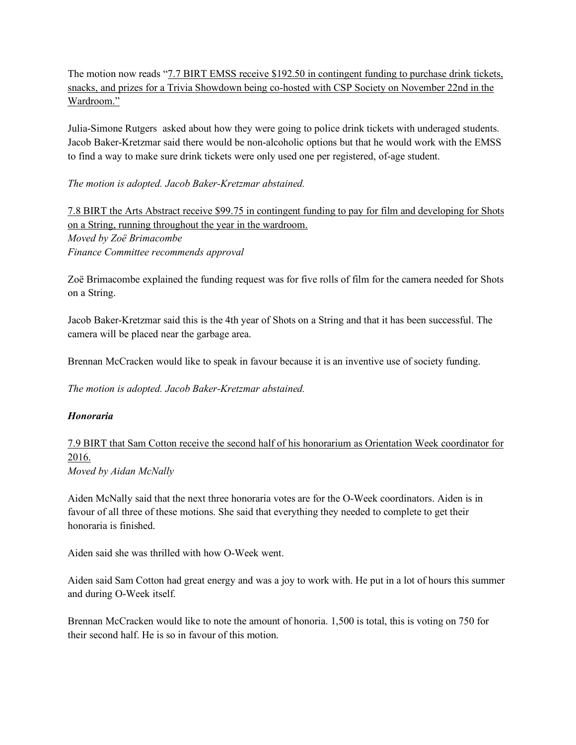The motion now reads "<u>7.7 BIRT EMSS receive \$192.50 in contingent funding to purchase drink tickets</u>, snacks, and prizes for a Trivia Showdown being co-hosted with CSP Society on November 22nd in the Wardroom."

Julia-Simone Rutgers asked about how they were going to police drink tickets with underaged students. Jacob Baker-Kretzmar said there would be non-alcoholic options but that he would work with the EMSS to find a way to make sure drink tickets were only used one per registered, of-age student.

*The motion is adopted. Jacob Baker-Kretzmar abstained.* 

7.8 BIRT the Arts Abstract receive \$99.75 in contingent funding to pay for film and developing for Shots on a String, running throughout the year in the wardroom. *Moved by Zoë Brimacombe Finance Committee recommends approval*

Zoë Brimacombe explained the funding request was for five rolls of film for the camera needed for Shots on a String.

Jacob Baker-Kretzmar said this is the 4th year of Shots on a String and that it has been successful. The camera will be placed near the garbage area.

Brennan McCracken would like to speak in favour because it is an inventive use of society funding.

*The motion is adopted. Jacob Baker-Kretzmar abstained.* 

#### *Honoraria*

7.9 BIRT that Sam Cotton receive the second half of his honorarium as Orientation Week coordinator for 2016. *Moved by Aidan McNally*

Aiden McNally said that the next three honoraria votes are for the O-Week coordinators. Aiden is in favour of all three of these motions. She said that everything they needed to complete to get their honoraria is finished.

Aiden said she was thrilled with how O-Week went.

Aiden said Sam Cotton had great energy and was a joy to work with. He put in a lot of hours this summer and during O-Week itself.

Brennan McCracken would like to note the amount of honoria. 1,500 is total, this is voting on 750 for their second half. He is so in favour of this motion.